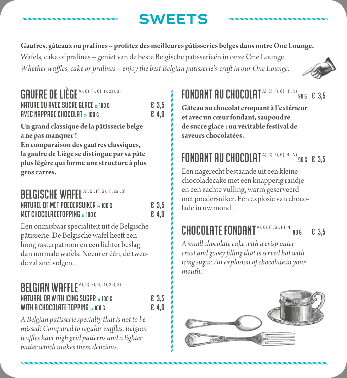# **SWEETS**

**Gaufres, gâteaux ou pralines – profitez des meilleures pâtisseries belges dans notre One Lounge.**

Wafels, cake of pralines – geniet van de beste Belgische patisserieën in onze One Lounge. *Whether waffles, cake or pralines – enjoy the best Belgian patisserie's-craft in our One Lounge.*



£ 3,5

## GAUFRE DE LIÈGE A), C), F), G), 1), 2a), 3) nature ou avec sucre glace »100 G € 3,5  $A$  avec nappage chocolat  $\rightarrow$  100 G  $\rightarrow$  6.4.0

**Un grand classique de la pâtisserie belge – à ne pas manquer ! En comparaison des gaufres classiques, la gaufre de Liège se distingue par sa pâte plus légère qui forme une structure à plus gros carrés.**

### BELGISCHE WAFEL A), C), F), G), 1), 2a), 3) naturel of met poedersuiker »100 G € 3,5 MET CHOCOLADETOPPING  $_{2}$  100 G

Een onmisbaar specialiteit uit de Belgische pâtisserie. De Belgische wafel heeft een hoog rasterpatroon en een lichter beslag dan normale wafels. Neem er één, de tweede zal snel volgen.

#### BELGIAN WAFFLE<sup>A), C), F), G), 1), 2a), 3)</sup> natural or with icing sugar »100 G € 3,5 WITH A CHOCOLATE TOPPING  $_{\rm \bf \infty}$  100 G

*A Belgian patisserie specialty that is not to be missed! Compared to regular waffles, Belgian waffles have high grid patterns and a lighter batter which makes them delicious.* 

#### FONDANT AU CHOCOLAT A), C), F), G), H), N)  $3.5$

**Gâteau au chocolat croquant à l'extérieur et avec un cœur fondant, saupoudré de sucre glace : un véritable festival de saveurs chocolatées.**

# FONDANT AU CHOCOLAT<sup>A), C), F), G), H), N)</sup> 90 G E 3,5

Een nagerecht bestaande uit een kleine chocoladecake met een knapperig randje en een zachte vulling, warm geserveerd met poedersuiker. Een explosie van chocolade in uw mond.

# CHOCOLATE FONDANT<sup>A), C), F), G), H), N)</sup> 90 6

*mouth.*

*A small chocolate cake with a crisp outer crust and gooey filling that is served hot with icing sugar. An explosion of chocolate in your* 

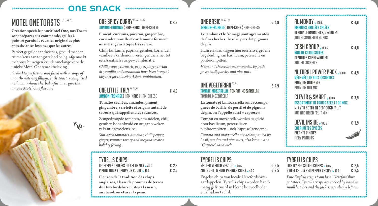## ONE SNACK

# **MOTEL ONE TOASTS** 1), 2), A), G)

**Création spéciale pour Motel One, nos Toasts sont préparés sur commande, grillés à point et garnis de recettes originales plus appétissantes les unes que les autres.** 

Perfect gegrilde sandwiches, gevuld met een ruime keus aan tongstrelend beleg, afgemaakt met onze huiseigen kruidenmelange voor de unieke Motel One smaakbeleving.

*Grilled to perfection and fused with a range of mouth-watering fillings, each Toast is completed with our in-house herbal infusion to give that unique Motel One flavour!* 



### ONE SPICY CURRY<sup>9), A), G), M)</sup>  $\epsilon$  4.9 JAMBON-FROMAGE ¦ HAM-KAAS¦ HAM-CHEESE

**Piment, curcuma, poivron, gingembre, coriandre, vanille et cardamome forment un mélange asiatique très relevé.**

Chili, kurkuma, paprika, gember, koriander, vanille en kardemom verenigen zich hier tot een Aziatisch vurigew combinatie.

*Chilli pepper, turmeric, pepper, ginger, coriander, vanilla and cardamom have been brought together for this spicy Asian combination.* 

## **ONE LITTLE ITALY**  $9$ ), A), G) **E** 4,9 JAMBON-FROMAGE¦ HAM-KAAS¦ HAM-CHEESE

**Tomates séchées, amandes, piment, gingembre, sarriette et origan: autant de saveurs qui rappellent les vacances.**

Zongedroogde tomaten, amandelen, chili, gember, bonenkruid en oregano weken vakantiegevoelens los.

*Sun-dried tomatoes, almonds, chilli pepper, ginger, summer savory and oregano create a holiday feeling.* 

## TYRELLS CHIPS

| LÉGÈREMENT SALÉES AU SEL DE MER » 40 G | € 2.5 |
|----------------------------------------|-------|
| PIMENT DOUX ET POIVRON ROUGE » 40 G    | € 2,5 |

**Fleuron de la tradition des chips anglaises, à base de pommes de terres du Herefordshire cuites à la main, au chaudron et avec la peau.**

## ONE BASIC<sup>9), A), G)</sup>  $\epsilon$  4.9 JAMBON-FROMAGE ¦ HAM-KAAS¦ HAM-CHEESE

**Le jambon et le fromage sont agrémentés de fines herbes: basilic, persil et pignons de pin.** 

Ham en kaas krijgen hier een frisse, groene begeleiding van basilicum, peterselie en pijnboompitten.

*Ham and cheese are accompanied by fresh green basil, parsley and pine nuts.*

### ONE VEGETARIAN  $^{A}$ , G)  $^{B}$   $E$  4,9 TOMATE-MOZZARELLA ¦ TOMAAT-MOZZARELLA¦ TOMATO-MOZZARELLA

**La tomate et la mozzarella sont accompagnées de basilic, de persil et de pignons de pin, on l'appelle aussi «caprese».** 

Tomaat en mozzarella worden begeleid door basilicum, peterselie en pijnboompitten – ook 'caprese' genoemd.

*Tomato and mozzarella are accompanied by basil, parsley and pine nuts, also known as a "Caprese" sandwich.* 

### TYRRELLS CHIPS MET EEN VLEUGJE ZEEZOUT » 40 G  $\epsilon$  2,5  $\epsilon$  2,5  $\epsilon$  2.5  $\epsilon$  2.5 ZOETE CHILI & RODE PAPRIKA CHIPS  $_{2}$  40 G

Engelse chips van locale Herefordshireaardappelen. Tyrrells chips worden handmatig gefrituurd in kleine hoeveelheden, en altijd met schil.

| $AL$ MONDY $_{\rm 2}$ 100 G<br>AMANDES GRILLÉES SALÉES<br>GEBRANDE AMANDELEN, GEZOUTEN<br>SALTED SMOKED ALMONDS                           | £ 4,9 |
|-------------------------------------------------------------------------------------------------------------------------------------------|-------|
| <b>CASH GROUP</b> » 100 G<br>NOIX DE CAJOU SALÉES<br>GEZOUTEN CASHEWNOTEN<br><b>SALTED CASHEWS</b>                                        | £ 4,9 |
| <b>NUTURAL POWER PACK</b> $_{2}$ 100 G $_{6}$ $\epsilon$ 4.9<br><b>MÉLI-MÉLO DE NOIX ASSORTIES</b><br>PREMIUM NOTENMIX<br>PREMIUM NUT MIX |       |
| <b>CLEVER &amp; SMART</b> » 100 G<br>ASSORTIMENT DE FRUITS SECS ET DE NOIX<br>MIX VAN NOTEN EN GEDROOGD FRUIT<br>NUT AND DRIED FRUIT MIX  | € 3.9 |
| <b>DEVIL INSIDE</b> » 100 G<br><b>CACAHUÈTES ÉPICÉES</b><br>PIKANTE PINDA'S<br>FIFRY PFANIITS                                             | £ 3,9 |

#### TYRRELLS CHIPS LIGHTLY SEA SALTED CRISPS »40 G € 2,5 SWEET CHILI & RED PEPPER CRISPS  $_{2}$  40 G

*Fine English crisps from local Herefordshire potatoes. Tyrrells crisps are cooked by hand in small batches and the jackets are always left on.*